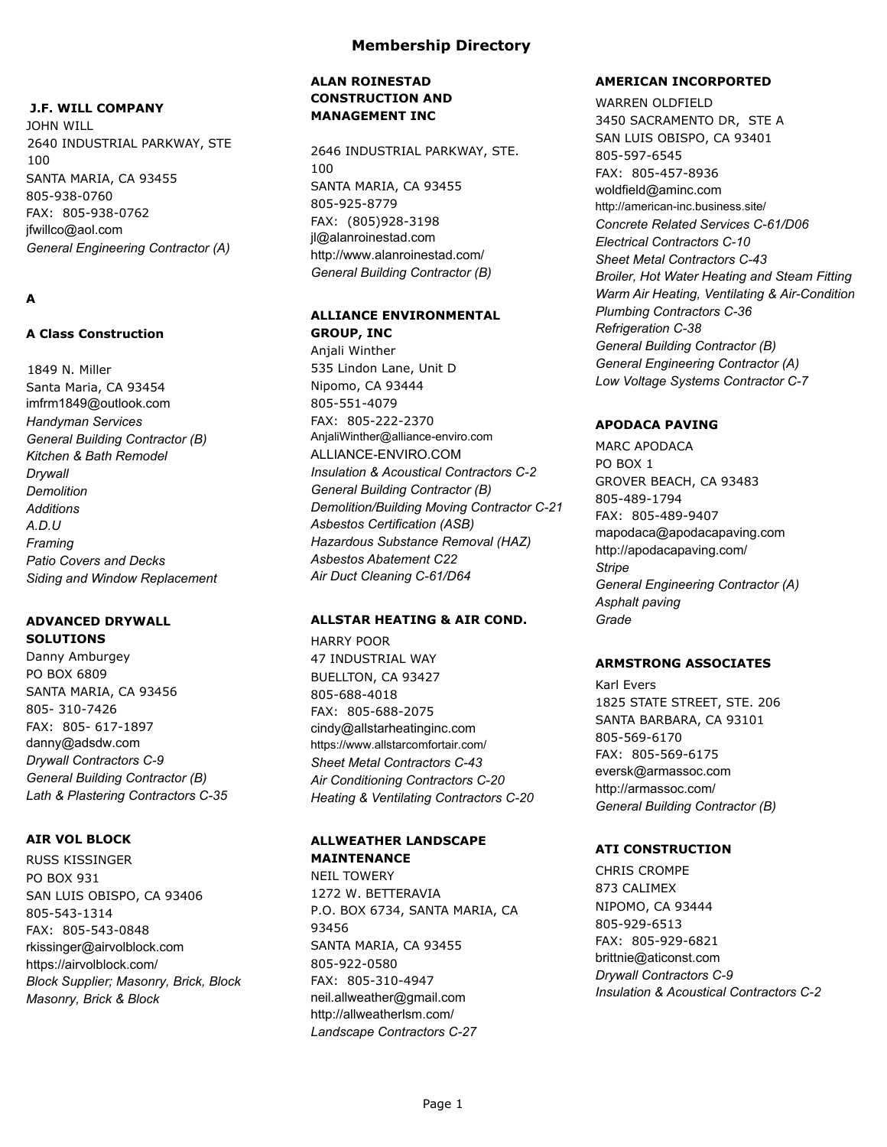## **J.F. WILL COMPANY**

JOHN WILL 2640 INDUSTRIAL PARKWAY, STE 100 SANTA MARIA, CA 93455 805-938-0760 FAX: 805-938-0762 jfwillco@aol.com *General Engineering Contractor (A)*

# **A**

## **A Class Construction**

1849 N. Miller Santa Maria, CA 93454 imfrm1849@outlook.com *Handyman Services General Building Contractor (B) Kitchen & Bath Remodel Drywall Demolition Additions A.D.U Framing Patio Covers and Decks Siding and Window Replacement*

#### **ADVANCED DRYWALL SOLUTIONS**

Danny Amburgey PO BOX 6809 SANTA MARIA, CA 93456 805- 310-7426 FAX: 805- 617-1897 danny@adsdw.com *Drywall Contractors C-9 General Building Contractor (B) Lath & Plastering Contractors C-35*

### **AIR VOL BLOCK**

RUSS KISSINGER PO BOX 931 SAN LUIS OBISPO, CA 93406 805-543-1314 FAX: 805-543-0848 rkissinger@airvolblock.com https://airvolblock.com/ *Block Supplier; Masonry, Brick, Block Masonry, Brick & Block*

## **ALAN ROINESTAD CONSTRUCTION AND MANAGEMENT INC**

2646 INDUSTRIAL PARKWAY, STE. 100 SANTA MARIA, CA 93455 805-925-8779 FAX: (805)928-3198 jl@alanroinestad.com http://www.alanroinestad.com/ *General Building Contractor (B)*

## **ALLIANCE ENVIRONMENTAL GROUP, INC**

Anjali Winther 535 Lindon Lane, Unit D Nipomo, CA 93444 805-551-4079 FAX: 805-222-2370 AnjaliWinther@alliance-enviro.com ALLIANCE-ENVIRO.COM *Insulation & Acoustical Contractors C-2 General Building Contractor (B) Demolition/Building Moving Contractor C-21 Asbestos Certification (ASB) Hazardous Substance Removal (HAZ) Asbestos Abatement C22 Air Duct Cleaning C-61/D64*

### **ALLSTAR HEATING & AIR COND.**

HARRY POOR 47 INDUSTRIAL WAY BUELLTON, CA 93427 805-688-4018 FAX: 805-688-2075 cindy@allstarheatinginc.com https://www.allstarcomfortair.com/ *Sheet Metal Contractors C-43 Air Conditioning Contractors C-20 Heating & Ventilating Contractors C-20*

### **ALLWEATHER LANDSCAPE MAINTENANCE**

NEIL TOWERY 1272 W. BETTERAVIA P.O. BOX 6734, SANTA MARIA, CA 93456 SANTA MARIA, CA 93455 805-922-0580 FAX: 805-310-4947 neil.allweather@gmail.com http://allweatherlsm.com/ *Landscape Contractors C-27*

### **AMERICAN INCORPORTED**

WARREN OLDFIELD 3450 SACRAMENTO DR, STE A SAN LUIS OBISPO, CA 93401 805-597-6545 FAX: 805-457-8936 woldfield@aminc.com http://american-inc.business.site/ *Concrete Related Services C-61/D06 Electrical Contractors C-10 Sheet Metal Contractors C-43 Broiler, Hot Water Heating and Steam Fitting Warm Air Heating, Ventilating & Air-Condition Plumbing Contractors C-36 Refrigeration C-38 General Building Contractor (B) General Engineering Contractor (A) Low Voltage Systems Contractor C-7*

## **APODACA PAVING**

MARC APODACA PO BOX 1 GROVER BEACH, CA 93483 805-489-1794 FAX: 805-489-9407 mapodaca@apodacapaving.com http://apodacapaving.com/ *Stripe General Engineering Contractor (A) Asphalt paving Grade*

## **ARMSTRONG ASSOCIATES**

Karl Evers 1825 STATE STREET, STE. 206 SANTA BARBARA, CA 93101 805-569-6170 FAX: 805-569-6175 eversk@armassoc.com http://armassoc.com/ *General Building Contractor (B)*

## **ATI CONSTRUCTION**

CHRIS CROMPE 873 CALIMEX NIPOMO, CA 93444 805-929-6513 FAX: 805-929-6821 brittnie@aticonst.com *Drywall Contractors C-9 Insulation & Acoustical Contractors C-2*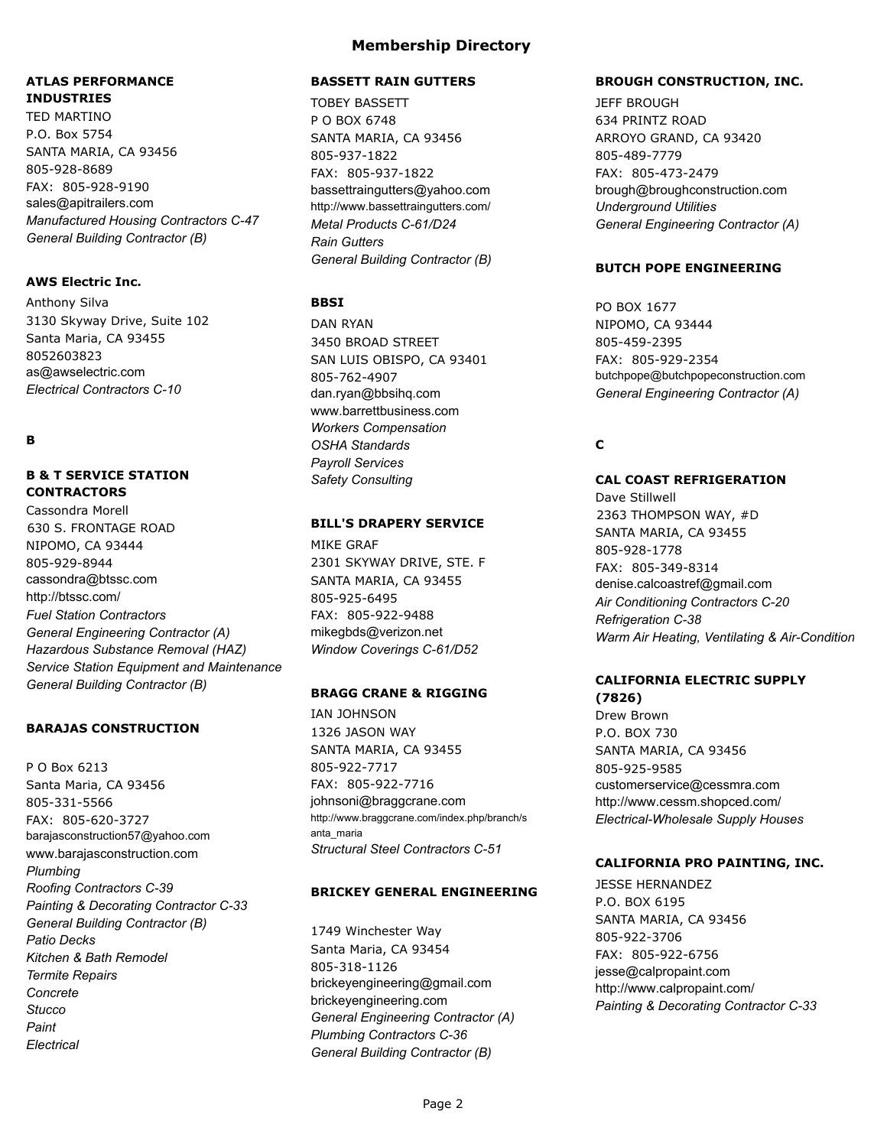# **ATLAS PERFORMANCE INDUSTRIES**

TED MARTINO P.O. Box 5754 SANTA MARIA, CA 93456 805-928-8689 FAX: 805-928-9190 sales@apitrailers.com *Manufactured Housing Contractors C-47 General Building Contractor (B)*

### **AWS Electric Inc.**

Anthony Silva 3130 Skyway Drive, Suite 102 Santa Maria, CA 93455 8052603823 as@awselectric.com *Electrical Contractors C-10*

## **B**

## **B & T SERVICE STATION CONTRACTORS**

Cassondra Morell 630 S. FRONTAGE ROAD NIPOMO, CA 93444 805-929-8944 cassondra@btssc.com http://btssc.com/ *Fuel Station Contractors General Engineering Contractor (A) Hazardous Substance Removal (HAZ)* **Service Station Equipment and Maintenance** *General Building Contractor (B)*

### **BARAJAS CONSTRUCTION**

P O Box 6213 Santa Maria, CA 93456 805-331-5566 FAX: 805-620-3727 barajasconstruction57@yahoo.com www.barajasconstruction.com *Plumbing Roofing Contractors C-39 Painting & Decorating Contractor C-33 General Building Contractor (B) Patio Decks Kitchen & Bath Remodel Termite Repairs Concrete Stucco Paint Electrical*

#### **BASSETT RAIN GUTTERS**

TOBEY BASSETT P O BOX 6748 SANTA MARIA, CA 93456 805-937-1822 FAX: 805-937-1822 bassettraingutters@yahoo.com http://www.bassettraingutters.com/ *Metal Products C-61/D24 Rain Gutters General Building Contractor (B)*

### **BBSI**

DAN RYAN 3450 BROAD STREET SAN LUIS OBISPO, CA 93401 805-762-4907 dan.ryan@bbsihq.com www.barrettbusiness.com *Workers Compensation OSHA Standards Payroll Services Safety Consulting*

#### **BILL'S DRAPERY SERVICE**

MIKE GRAF 2301 SKYWAY DRIVE, STE. F SANTA MARIA, CA 93455 805-925-6495 FAX: 805-922-9488 mikegbds@verizon.net *Window Coverings C-61/D52*

#### **BRAGG CRANE & RIGGING**

IAN JOHNSON 1326 JASON WAY SANTA MARIA, CA 93455 805-922-7717 FAX: 805-922-7716 johnsoni@braggcrane.com http://www.braggcrane.com/index.php/branch/s anta\_maria *Structural Steel Contractors C-51*

### **BRICKEY GENERAL ENGINEERING**

1749 Winchester Way Santa Maria, CA 93454 805-318-1126 brickeyengineering@gmail.com brickeyengineering.com *General Engineering Contractor (A) Plumbing Contractors C-36 General Building Contractor (B)*

#### **BROUGH CONSTRUCTION, INC.**

JEFF BROUGH 634 PRINTZ ROAD ARROYO GRAND, CA 93420 805-489-7779 FAX: 805-473-2479 brough@broughconstruction.com *Underground Utilities General Engineering Contractor (A)*

#### **BUTCH POPE ENGINEERING**

PO BOX 1677 NIPOMO, CA 93444 805-459-2395 FAX: 805-929-2354 butchpope@butchpopeconstruction.com *General Engineering Contractor (A)*

## **C**

# **CAL COAST REFRIGERATION**

Dave Stillwell 2363 THOMPSON WAY, #D SANTA MARIA, CA 93455 805-928-1778 FAX: 805-349-8314 denise.calcoastref@gmail.com *Air Conditioning Contractors C-20 Refrigeration C-38 Warm Air Heating, Ventilating & Air-Condition* 

#### **CALIFORNIA ELECTRIC SUPPLY (7826)**

Drew Brown P.O. BOX 730 SANTA MARIA, CA 93456 805-925-9585 customerservice@cessmra.com http://www.cessm.shopced.com/ *Electrical-Wholesale Supply Houses*

#### **CALIFORNIA PRO PAINTING, INC.**

JESSE HERNANDEZ P.O. BOX 6195 SANTA MARIA, CA 93456 805-922-3706 FAX: 805-922-6756 jesse@calpropaint.com http://www.calpropaint.com/ *Painting & Decorating Contractor C-33*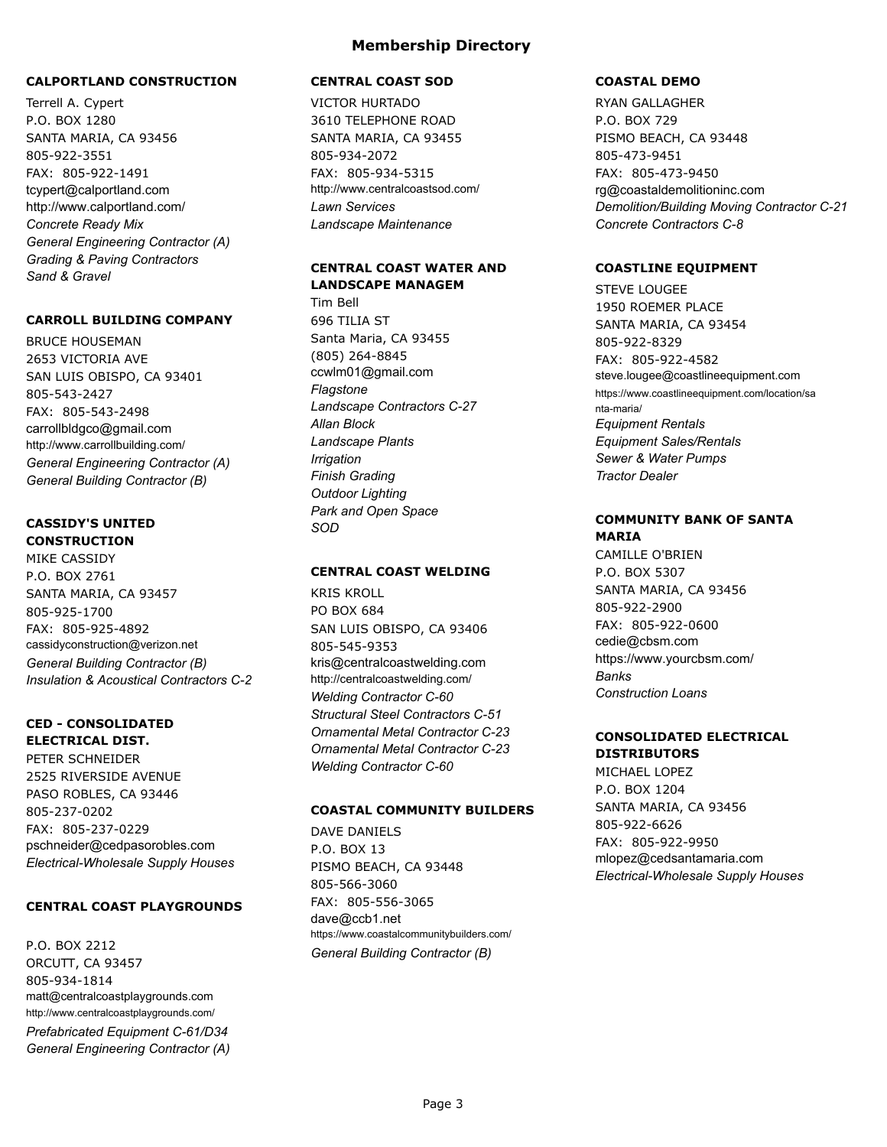### **CALPORTLAND CONSTRUCTION**

Terrell A. Cypert P.O. BOX 1280 SANTA MARIA, CA 93456 805-922-3551 FAX: 805-922-1491 tcypert@calportland.com http://www.calportland.com/ *Concrete Ready Mix General Engineering Contractor (A) Grading & Paving Contractors Sand & Gravel*

#### **CARROLL BUILDING COMPANY**

BRUCE HOUSEMAN 2653 VICTORIA AVE SAN LUIS OBISPO, CA 93401 805-543-2427 FAX: 805-543-2498 carrollbldgco@gmail.com http://www.carrollbuilding.com/ *General Engineering Contractor (A) General Building Contractor (B)*

#### **CASSIDY'S UNITED CONSTRUCTION**

MIKE CASSIDY P.O. BOX 2761 SANTA MARIA, CA 93457 805-925-1700 FAX: 805-925-4892 cassidyconstruction@verizon.net *General Building Contractor (B) Insulation & Acoustical Contractors C-2*

### **CED - CONSOLIDATED ELECTRICAL DIST.**

PETER SCHNEIDER 2525 RIVERSIDE AVENUE PASO ROBLES, CA 93446 805-237-0202 FAX: 805-237-0229 pschneider@cedpasorobles.com *Electrical-Wholesale Supply Houses*

### **CENTRAL COAST PLAYGROUNDS**

P.O. BOX 2212 ORCUTT, CA 93457 805-934-1814 matt@centralcoastplaygrounds.com http://www.centralcoastplaygrounds.com/ *Prefabricated Equipment C-61/D34 General Engineering Contractor (A)*

#### **CENTRAL COAST SOD**

VICTOR HURTADO 3610 TELEPHONE ROAD SANTA MARIA, CA 93455 805-934-2072 FAX: 805-934-5315 http://www.centralcoastsod.com/ *Lawn Services Landscape Maintenance*

## **CENTRAL COAST WATER AND LANDSCAPE MANAGEM**

Tim Bell 696 TILIA ST Santa Maria, CA 93455 (805) 264-8845 ccwlm01@gmail.com *Flagstone Landscape Contractors C-27 Allan Block Landscape Plants Irrigation Finish Grading Outdoor Lighting Park and Open Space SOD*

### **CENTRAL COAST WELDING**

KRIS KROLL PO BOX 684 SAN LUIS OBISPO, CA 93406 805-545-9353 kris@centralcoastwelding.com http://centralcoastwelding.com/ *Welding Contractor C-60 Structural Steel Contractors C-51 Ornamental Metal Contractor C-23 Ornamental Metal Contractor C-23 Welding Contractor C-60*

#### **COASTAL COMMUNITY BUILDERS**

DAVE DANIELS P.O. BOX 13 PISMO BEACH, CA 93448 805-566-3060 FAX: 805-556-3065 dave@ccb1.net https://www.coastalcommunitybuilders.com/ *General Building Contractor (B)*

### **COASTAL DEMO**

RYAN GALLAGHER P.O. BOX 729 PISMO BEACH, CA 93448 805-473-9451 FAX: 805-473-9450 rg@coastaldemolitioninc.com *Demolition/Building Moving Contractor C-21 Concrete Contractors C-8*

#### **COASTLINE EQUIPMENT**

STEVE LOUGEE 1950 ROEMER PLACE SANTA MARIA, CA 93454 805-922-8329 FAX: 805-922-4582 steve.lougee@coastlineequipment.com https://www.coastlineequipment.com/location/sa nta-maria/ *Equipment Rentals Equipment Sales/Rentals Sewer & Water Pumps Tractor Dealer*

### **COMMUNITY BANK OF SANTA MARIA**

CAMILLE O'BRIEN P.O. BOX 5307 SANTA MARIA, CA 93456 805-922-2900 FAX: 805-922-0600 cedie@cbsm.com https://www.yourcbsm.com/ *Banks Construction Loans*

## **CONSOLIDATED ELECTRICAL DISTRIBUTORS**

MICHAEL LOPEZ P.O. BOX 1204 SANTA MARIA, CA 93456 805-922-6626 FAX: 805-922-9950 mlopez@cedsantamaria.com *Electrical-Wholesale Supply Houses*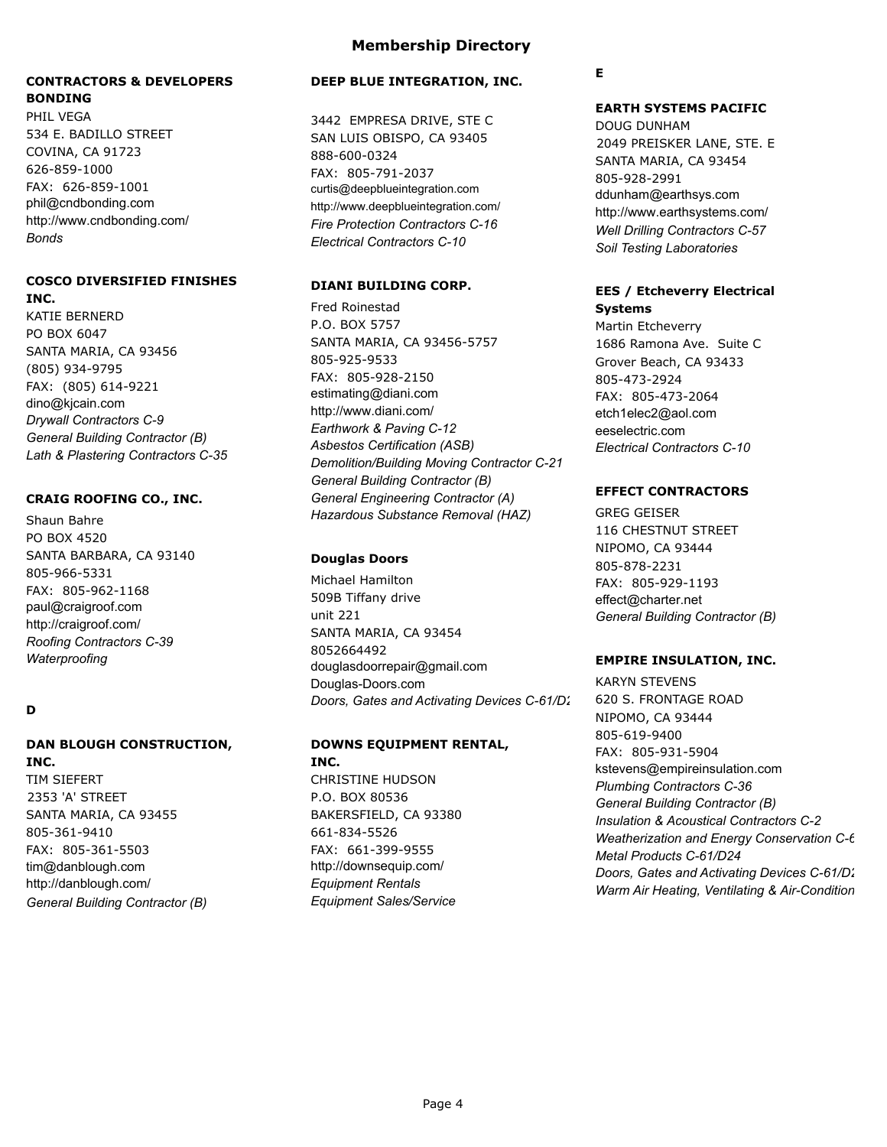## **CONTRACTORS & DEVELOPERS BONDING**

PHIL VEGA 534 E. BADILLO STREET COVINA, CA 91723 626-859-1000 FAX: 626-859-1001 phil@cndbonding.com http://www.cndbonding.com/ *Bonds*

#### **COSCO DIVERSIFIED FINISHES INC.**

KATIE BERNERD PO BOX 6047 SANTA MARIA, CA 93456 (805) 934-9795 FAX: (805) 614-9221 dino@kjcain.com *Drywall Contractors C-9 General Building Contractor (B) Lath & Plastering Contractors C-35*

## **CRAIG ROOFING CO., INC.**

Shaun Bahre PO BOX 4520 SANTA BARBARA, CA 93140 805-966-5331 FAX: 805-962-1168 paul@craigroof.com http://craigroof.com/ *Roofing Contractors C-39 Waterproofing*

## **D**

## **DAN BLOUGH CONSTRUCTION,**

**INC.** TIM SIEFERT 2353 'A' STREET SANTA MARIA, CA 93455 805-361-9410 FAX: 805-361-5503 tim@danblough.com http://danblough.com/ *General Building Contractor (B)*

## **Membership Directory**

### **DEEP BLUE INTEGRATION, INC.**

3442 EMPRESA DRIVE, STE C SAN LUIS OBISPO, CA 93405 888-600-0324 FAX: 805-791-2037 curtis@deepblueintegration.com http://www.deepblueintegration.com/ *Fire Protection Contractors C-16 Electrical Contractors C-10*

## **DIANI BUILDING CORP.**

Fred Roinestad P.O. BOX 5757 SANTA MARIA, CA 93456-5757 805-925-9533 FAX: 805-928-2150 estimating@diani.com http://www.diani.com/ *Earthwork & Paving C-12 Asbestos Certification (ASB) Demolition/Building Moving Contractor C-21 General Building Contractor (B) General Engineering Contractor (A) Hazardous Substance Removal (HAZ)*

## **Douglas Doors**

Michael Hamilton 509B Tiffany drive unit 221 SANTA MARIA, CA 93454 8052664492 douglasdoorrepair@gmail.com Douglas-Doors.com *Doors, Gates and Activating Devices C-61/D28*

## **DOWNS EQUIPMENT RENTAL,**

**INC.** CHRISTINE HUDSON P.O. BOX 80536 BAKERSFIELD, CA 93380 661-834-5526 FAX: 661-399-9555 http://downsequip.com/ *Equipment Rentals Equipment Sales/Service*

## **E**

## **EARTH SYSTEMS PACIFIC**

DOUG DUNHAM 2049 PREISKER LANE, STE. E SANTA MARIA, CA 93454 805-928-2991 ddunham@earthsys.com http://www.earthsystems.com/ *Well Drilling Contractors C-57 Soil Testing Laboratories*

## **EES / Etcheverry Electrical Systems**

Martin Etcheverry 1686 Ramona Ave. Suite C Grover Beach, CA 93433 805-473-2924 FAX: 805-473-2064 etch1elec2@aol.com eeselectric.com *Electrical Contractors C-10*

## **EFFECT CONTRACTORS**

GREG GEISER 116 CHESTNUT STREET NIPOMO, CA 93444 805-878-2231 FAX: 805-929-1193 effect@charter.net *General Building Contractor (B)*

## **EMPIRE INSULATION, INC.**

KARYN STEVENS 620 S. FRONTAGE ROAD NIPOMO, CA 93444 805-619-9400 FAX: 805-931-5904 kstevens@empireinsulation.com *Plumbing Contractors C-36 General Building Contractor (B) Insulation & Acoustical Contractors C-2 Weatherization and Energy Conservation C-6 Metal Products C-61/D24 Doors, Gates and Activating Devices C-61/D28 Warm Air Heating, Ventilating & Air-Condition*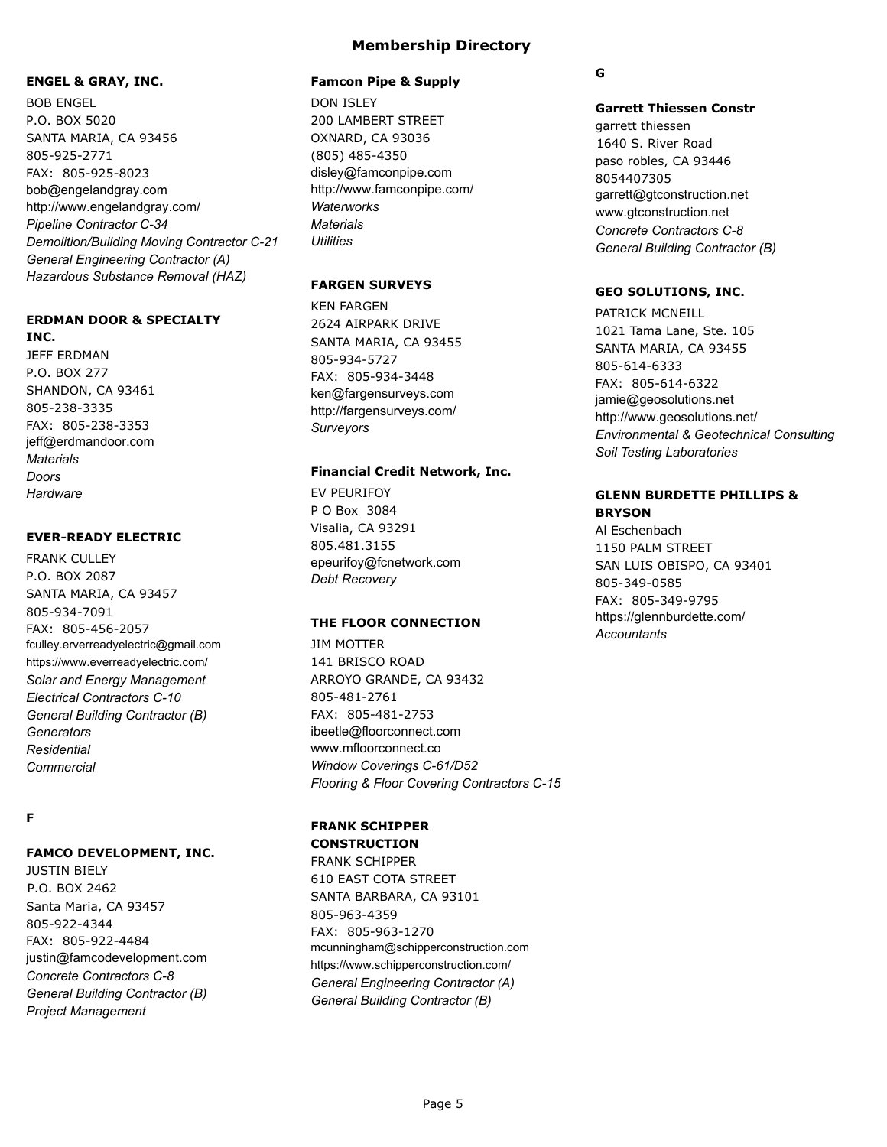#### **ENGEL & GRAY, INC.**

BOB ENGEL P.O. BOX 5020 SANTA MARIA, CA 93456 805-925-2771 FAX: 805-925-8023 bob@engelandgray.com http://www.engelandgray.com/ *Pipeline Contractor C-34 Demolition/Building Moving Contractor C-21 General Engineering Contractor (A) Hazardous Substance Removal (HAZ)*

### **ERDMAN DOOR & SPECIALTY INC.**

JEFF ERDMAN P.O. BOX 277 SHANDON, CA 93461 805-238-3335 FAX: 805-238-3353 jeff@erdmandoor.com *Materials Doors Hardware*

### **EVER-READY ELECTRIC**

FRANK CULLEY P.O. BOX 2087 SANTA MARIA, CA 93457 805-934-7091 FAX: 805-456-2057 fculley.erverreadyelectric@gmail.com https://www.everreadyelectric.com/ *Solar and Energy Management Electrical Contractors C-10 General Building Contractor (B) Generators Residential Commercial*

## **F**

## **FAMCO DEVELOPMENT, INC.**

JUSTIN BIELY P.O. BOX 2462 Santa Maria, CA 93457 805-922-4344 FAX: 805-922-4484 justin@famcodevelopment.com *Concrete Contractors C-8 General Building Contractor (B) Project Management*

#### **Famcon Pipe & Supply**

DON ISLEY 200 LAMBERT STREET OXNARD, CA 93036 (805) 485-4350 disley@famconpipe.com http://www.famconpipe.com/ *Waterworks Materials Utilities*

### **FARGEN SURVEYS**

KEN FARGEN 2624 AIRPARK DRIVE SANTA MARIA, CA 93455 805-934-5727 FAX: 805-934-3448 ken@fargensurveys.com http://fargensurveys.com/ *Surveyors*

#### **Financial Credit Network, Inc.**

EV PEURIFOY P O Box 3084 Visalia, CA 93291 805.481.3155 epeurifoy@fcnetwork.com *Debt Recovery*

#### **THE FLOOR CONNECTION**

JIM MOTTER 141 BRISCO ROAD ARROYO GRANDE, CA 93432 805-481-2761 FAX: 805-481-2753 ibeetle@floorconnect.com www.mfloorconnect.co *Window Coverings C-61/D52 Flooring & Floor Covering Contractors C-15*

#### **FRANK SCHIPPER CONSTRUCTION**

FRANK SCHIPPER 610 EAST COTA STREET SANTA BARBARA, CA 93101 805-963-4359 FAX: 805-963-1270 mcunningham@schipperconstruction.com https://www.schipperconstruction.com/ *General Engineering Contractor (A) General Building Contractor (B)*

### **G**

#### **Garrett Thiessen Constr**

garrett thiessen 1640 S. River Road paso robles, CA 93446 8054407305 garrett@gtconstruction.net www.gtconstruction.net *Concrete Contractors C-8 General Building Contractor (B)*

#### **GEO SOLUTIONS, INC.**

PATRICK MCNEILL 1021 Tama Lane, Ste. 105 SANTA MARIA, CA 93455 805-614-6333 FAX: 805-614-6322 jamie@geosolutions.net http://www.geosolutions.net/ *Environmental & Geotechnical Consulting Soil Testing Laboratories*

### **GLENN BURDETTE PHILLIPS & BRYSON**

Al Eschenbach 1150 PALM STREET SAN LUIS OBISPO, CA 93401 805-349-0585 FAX: 805-349-9795 https://glennburdette.com/ *Accountants*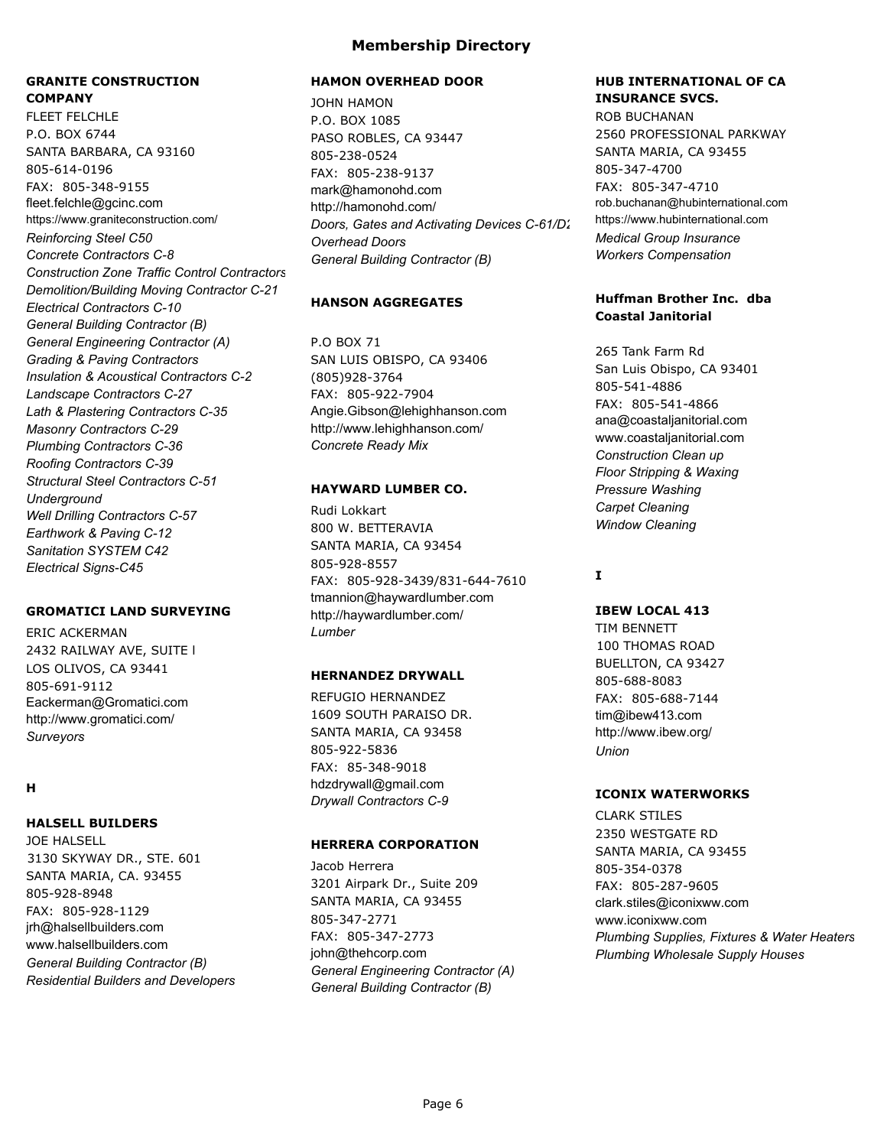## **GRANITE CONSTRUCTION COMPANY**

FLEET FFLCHLE P.O. BOX 6744 SANTA BARBARA, CA 93160 805-614-0196 FAX: 805-348-9155 fleet.felchle@gcinc.com https://www.graniteconstruction.com/ *Reinforcing Steel C50 Concrete Contractors C-8* **Construction Zone Traffic Control Contractors** *Demolition/Building Moving Contractor C-21 Electrical Contractors C-10 General Building Contractor (B) General Engineering Contractor (A) Grading & Paving Contractors Insulation & Acoustical Contractors C-2 Landscape Contractors C-27 Lath & Plastering Contractors C-35 Masonry Contractors C-29 Plumbing Contractors C-36 Roofing Contractors C-39 Structural Steel Contractors C-51 Underground Well Drilling Contractors C-57 Earthwork & Paving C-12 Sanitation SYSTEM C42 Electrical Signs-C45*

#### **GROMATICI LAND SURVEYING**

ERIC ACKERMAN 2432 RAILWAY AVE, SUITE l LOS OLIVOS, CA 93441 805-691-9112 Eackerman@Gromatici.com http://www.gromatici.com/ *Surveyors*

### **H**

#### **HALSELL BUILDERS**

JOE HALSELL 3130 SKYWAY DR., STE. 601 SANTA MARIA, CA. 93455 805-928-8948 FAX: 805-928-1129 jrh@halsellbuilders.com www.halsellbuilders.com *General Building Contractor (B) Residential Builders and Developers*

#### **HAMON OVERHEAD DOOR**

JOHN HAMON P.O. BOX 1085 PASO ROBLES, CA 93447 805-238-0524 FAX: 805-238-9137 mark@hamonohd.com http://hamonohd.com/ *Doors, Gates and Activating Devices C-61/D28 Overhead Doors General Building Contractor (B)*

#### **HANSON AGGREGATES**

P.O BOX 71 SAN LUIS OBISPO, CA 93406 (805)928-3764 FAX: 805-922-7904 Angie.Gibson@lehighhanson.com http://www.lehighhanson.com/ *Concrete Ready Mix*

#### **HAYWARD LUMBER CO.**

Rudi Lokkart 800 W. BETTERAVIA SANTA MARIA, CA 93454 805-928-8557 FAX: 805-928-3439/831-644-7610 tmannion@haywardlumber.com http://haywardlumber.com/ *Lumber*

#### **HERNANDEZ DRYWALL**

REFUGIO HERNANDEZ 1609 SOUTH PARAISO DR. SANTA MARIA, CA 93458 805-922-5836 FAX: 85-348-9018 hdzdrywall@gmail.com *Drywall Contractors C-9*

#### **HERRERA CORPORATION**

Jacob Herrera 3201 Airpark Dr., Suite 209 SANTA MARIA, CA 93455 805-347-2771 FAX: 805-347-2773 john@thehcorp.com *General Engineering Contractor (A) General Building Contractor (B)*

## **HUB INTERNATIONAL OF CA INSURANCE SVCS.**

ROB BUCHANAN 2560 PROFESSIONAL PARKWAY SANTA MARIA, CA 93455 805-347-4700 FAX: 805-347-4710 rob.buchanan@hubinternational.com https://www.hubinternational.com *Medical Group Insurance Workers Compensation*

#### **Huffman Brother Inc. dba Coastal Janitorial**

265 Tank Farm Rd San Luis Obispo, CA 93401 805-541-4886 FAX: 805-541-4866 ana@coastaljanitorial.com www.coastaljanitorial.com *Construction Clean up Floor Stripping & Waxing Pressure Washing Carpet Cleaning Window Cleaning*

## **I**

#### **IBEW LOCAL 413**

TIM BENNETT 100 THOMAS ROAD BUELLTON, CA 93427 805-688-8083 FAX: 805-688-7144 tim@ibew413.com http://www.ibew.org/ *Union*

#### **ICONIX WATERWORKS**

CLARK STILES 2350 WESTGATE RD SANTA MARIA, CA 93455 805-354-0378 FAX: 805-287-9605 clark.stiles@iconixww.com www.iconixww.com *Plumbing Supplies, Fixtures & Water Heaters Plumbing Wholesale Supply Houses*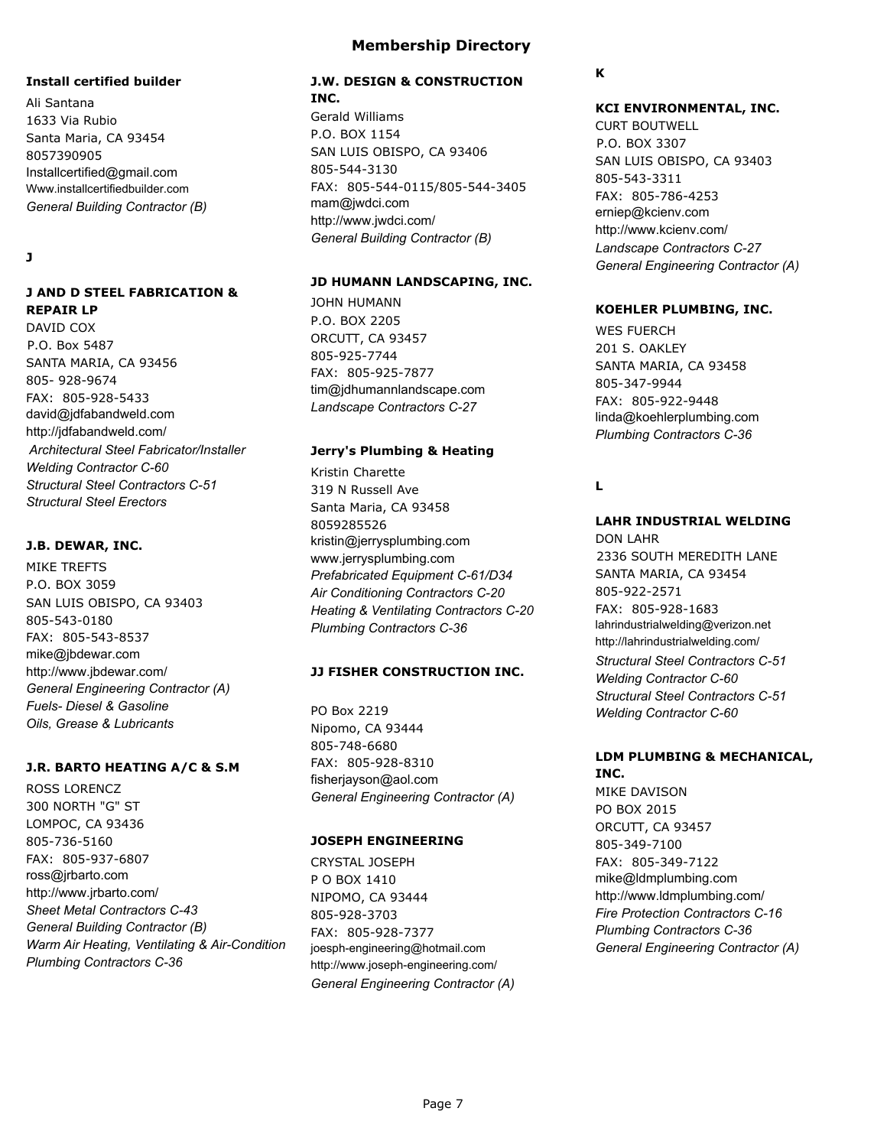#### **Install certified builder**

Ali Santana 1633 Via Rubio Santa Maria, CA 93454 8057390905 Installcertified@gmail.com Www.installcertifiedbuilder.com *General Building Contractor (B)*

### **J**

## **J AND D STEEL FABRICATION & REPAIR LP**

DAVID COX P.O. Box 5487 SANTA MARIA, CA 93456 805- 928-9674 FAX: 805-928-5433 david@jdfabandweld.com http://jdfabandweld.com/  *Architectural Steel Fabricator/Installer Welding Contractor C-60 Structural Steel Contractors C-51 Structural Steel Erectors*

## **J.B. DEWAR, INC.**

MIKE TREFTS P.O. BOX 3059 SAN LUIS OBISPO, CA 93403 805-543-0180 FAX: 805-543-8537 mike@jbdewar.com http://www.jbdewar.com/ *General Engineering Contractor (A) Fuels- Diesel & Gasoline Oils, Grease & Lubricants*

## **J.R. BARTO HEATING A/C & S.M**

ROSS LORENCZ 300 NORTH "G" ST LOMPOC, CA 93436 805-736-5160 FAX: 805-937-6807 ross@jrbarto.com http://www.jrbarto.com/ *Sheet Metal Contractors C-43 General Building Contractor (B) Warm Air Heating, Ventilating & Air-Condition Plumbing Contractors C-36*

# **Membership Directory**

## **J.W. DESIGN & CONSTRUCTION INC.**

Gerald Williams P.O. BOX 1154 SAN LUIS OBISPO, CA 93406 805-544-3130 FAX: 805-544-0115/805-544-3405 mam@jwdci.com http://www.jwdci.com/ *General Building Contractor (B)*

## **JD HUMANN LANDSCAPING, INC.**

JOHN HUMANN P.O. BOX 2205 ORCUTT, CA 93457 805-925-7744 FAX: 805-925-7877 tim@jdhumannlandscape.com *Landscape Contractors C-27*

# **Jerry's Plumbing & Heating**

Kristin Charette 319 N Russell Ave Santa Maria, CA 93458 8059285526 kristin@jerrysplumbing.com www.jerrysplumbing.com *Prefabricated Equipment C-61/D34 Air Conditioning Contractors C-20 Heating & Ventilating Contractors C-20 Plumbing Contractors C-36*

# **JJ FISHER CONSTRUCTION INC.**

PO Box 2219 Nipomo, CA 93444 805-748-6680 FAX: 805-928-8310 fisherjayson@aol.com *General Engineering Contractor (A)*

# **JOSEPH ENGINEERING**

CRYSTAL JOSEPH P O BOX 1410 NIPOMO, CA 93444 805-928-3703 FAX: 805-928-7377 joesph-engineering@hotmail.com http://www.joseph-engineering.com/ *General Engineering Contractor (A)*

## **K**

### **KCI ENVIRONMENTAL, INC.**

CURT BOUTWELL P.O. BOX 3307 SAN LUIS OBISPO, CA 93403 805-543-3311 FAX: 805-786-4253 erniep@kcienv.com http://www.kcienv.com/ *Landscape Contractors C-27 General Engineering Contractor (A)*

## **KOEHLER PLUMBING, INC.**

WES FUERCH 201 S. OAKLEY SANTA MARIA, CA 93458 805-347-9944 FAX: 805-922-9448 linda@koehlerplumbing.com *Plumbing Contractors C-36*

## **L**

# **LAHR INDUSTRIAL WELDING**

DON LAHR 2336 SOUTH MEREDITH LANE SANTA MARIA, CA 93454 805-922-2571 FAX: 805-928-1683 lahrindustrialwelding@verizon.net http://lahrindustrialwelding.com/ *Structural Steel Contractors C-51 Welding Contractor C-60 Structural Steel Contractors C-51 Welding Contractor C-60*

## **LDM PLUMBING & MECHANICAL, INC.**

MIKE DAVISON PO BOX 2015 ORCUTT, CA 93457 805-349-7100 FAX: 805-349-7122 mike@ldmplumbing.com http://www.ldmplumbing.com/ *Fire Protection Contractors C-16 Plumbing Contractors C-36 General Engineering Contractor (A)*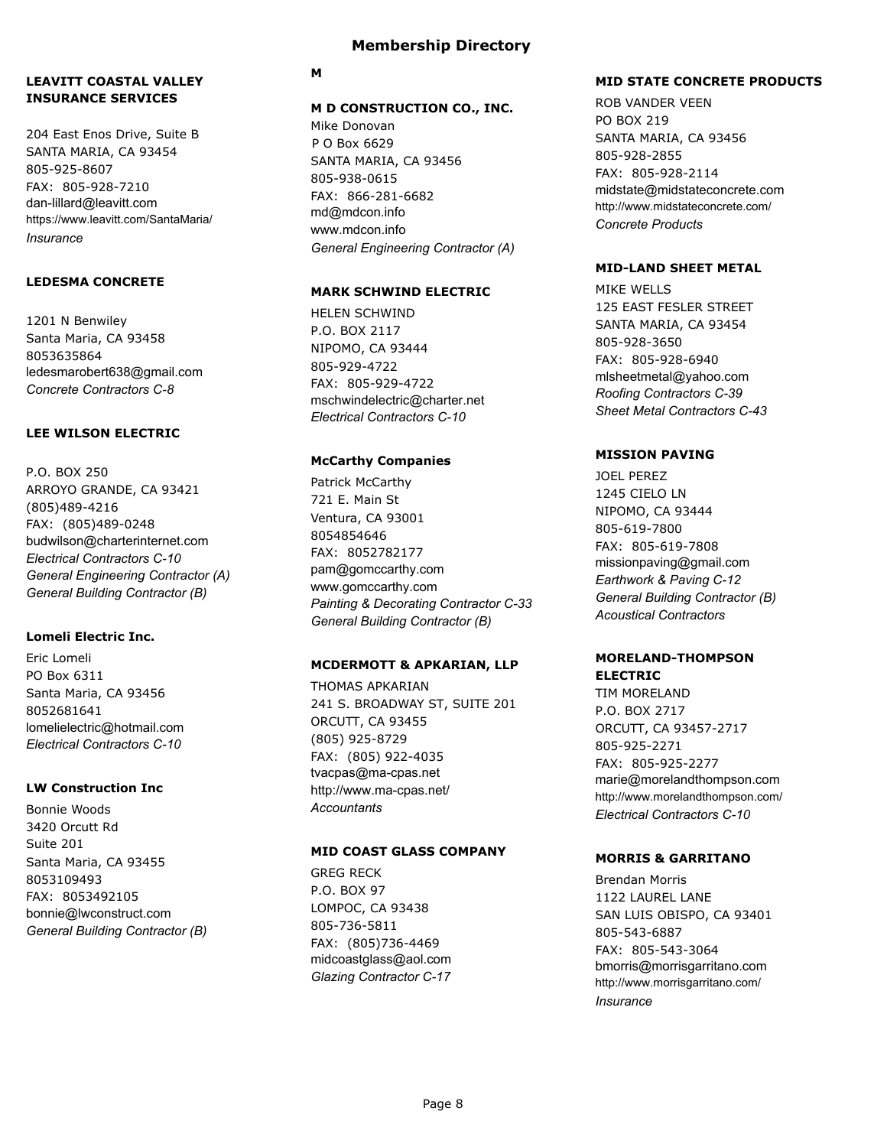### **LEAVITT COASTAL VALLEY INSURANCE SERVICES**

204 East Enos Drive, Suite B SANTA MARIA, CA 93454 805-925-8607 FAX: 805-928-7210 dan-lillard@leavitt.com https://www.leavitt.com/SantaMaria/ *Insurance*

### **LEDESMA CONCRETE**

1201 N Benwiley Santa Maria, CA 93458 8053635864 ledesmarobert638@gmail.com *Concrete Contractors C-8*

#### **LEE WILSON ELECTRIC**

P.O. BOX 250 ARROYO GRANDE, CA 93421 (805)489-4216 FAX: (805)489-0248 budwilson@charterinternet.com *Electrical Contractors C-10 General Engineering Contractor (A) General Building Contractor (B)*

#### **Lomeli Electric Inc.**

Eric Lomeli PO Box 6311 Santa Maria, CA 93456 8052681641 lomelielectric@hotmail.com *Electrical Contractors C-10*

### **LW Construction Inc**

Bonnie Woods 3420 Orcutt Rd Suite 201 Santa Maria, CA 93455 8053109493 FAX: 8053492105 bonnie@lwconstruct.com *General Building Contractor (B)*

### **Membership Directory**

#### **M**

#### **M D CONSTRUCTION CO., INC.**

Mike Donovan P O Box 6629 SANTA MARIA, CA 93456 805-938-0615 FAX: 866-281-6682 md@mdcon.info www.mdcon.info *General Engineering Contractor (A)*

#### **MARK SCHWIND ELECTRIC**

HELEN SCHWIND P.O. BOX 2117 NIPOMO, CA 93444 805-929-4722 FAX: 805-929-4722 mschwindelectric@charter.net *Electrical Contractors C-10*

#### **McCarthy Companies**

Patrick McCarthy 721 E. Main St Ventura, CA 93001 8054854646 FAX: 8052782177 pam@gomccarthy.com www.gomccarthy.com *Painting & Decorating Contractor C-33 General Building Contractor (B)*

#### **MCDERMOTT & APKARIAN, LLP**

THOMAS APKARIAN 241 S. BROADWAY ST, SUITE 201 ORCUTT, CA 93455 (805) 925-8729 FAX: (805) 922-4035 tvacpas@ma-cpas.net http://www.ma-cpas.net/ *Accountants*

### **MID COAST GLASS COMPANY**

GREG RECK P.O. BOX 97 LOMPOC, CA 93438 805-736-5811 FAX: (805)736-4469 midcoastglass@aol.com *Glazing Contractor C-17*

#### **MID STATE CONCRETE PRODUCTS**

ROB VANDER VEEN PO BOX 219 SANTA MARIA, CA 93456 805-928-2855 FAX: 805-928-2114 midstate@midstateconcrete.com http://www.midstateconcrete.com/ *Concrete Products*

#### **MID-LAND SHEET METAL**

MIKE WELLS 125 EAST FESLER STREET SANTA MARIA, CA 93454 805-928-3650 FAX: 805-928-6940 mlsheetmetal@yahoo.com *Roofing Contractors C-39 Sheet Metal Contractors C-43*

#### **MISSION PAVING**

JOEL PEREZ 1245 CIELO LN NIPOMO, CA 93444 805-619-7800 FAX: 805-619-7808 missionpaving@gmail.com *Earthwork & Paving C-12 General Building Contractor (B) Acoustical Contractors*

#### **MORELAND-THOMPSON ELECTRIC**

TIM MORELAND P.O. BOX 2717 ORCUTT, CA 93457-2717 805-925-2271 FAX: 805-925-2277 marie@morelandthompson.com http://www.morelandthompson.com/ *Electrical Contractors C-10*

### **MORRIS & GARRITANO**

Brendan Morris 1122 LAUREL LANE SAN LUIS OBISPO, CA 93401 805-543-6887 FAX: 805-543-3064 bmorris@morrisgarritano.com http://www.morrisgarritano.com/ *Insurance*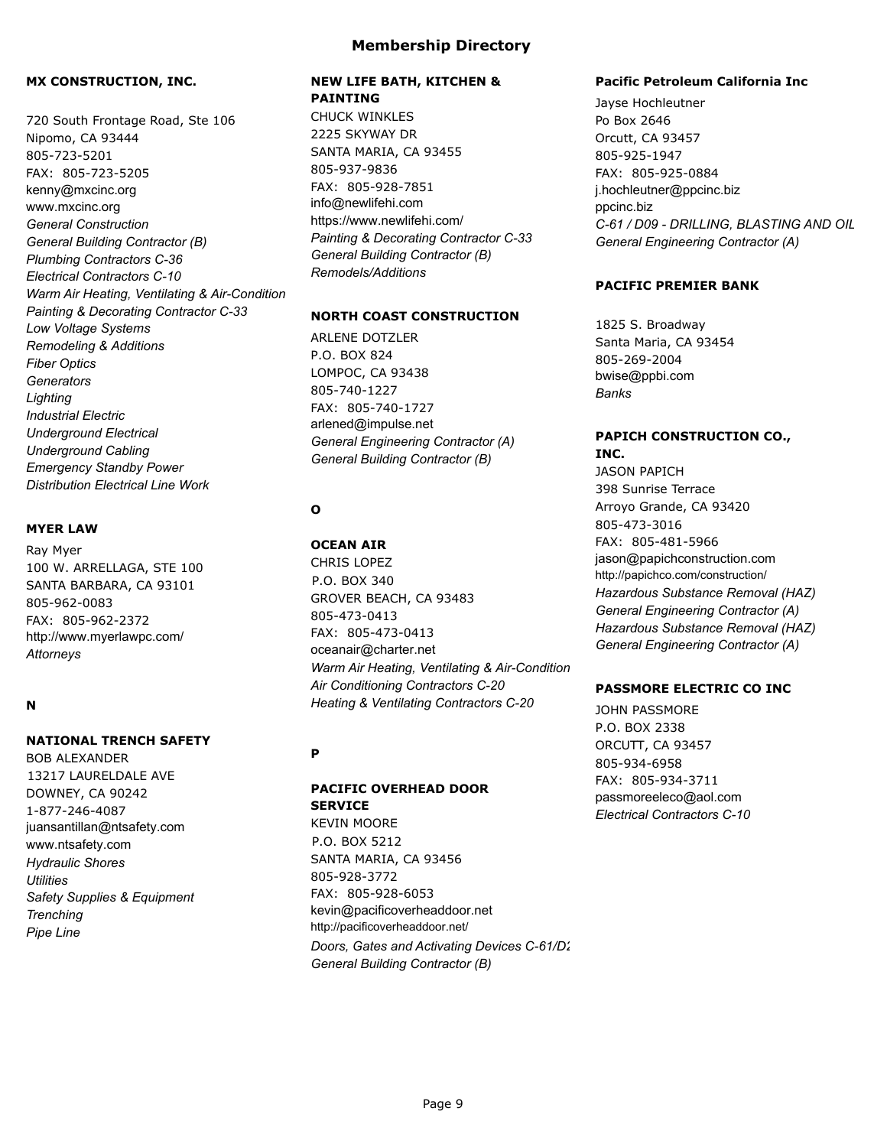### **MX CONSTRUCTION, INC.**

720 South Frontage Road, Ste 106 Nipomo, CA 93444 805-723-5201 FAX: 805-723-5205 kenny@mxcinc.org www.mxcinc.org *General Construction General Building Contractor (B) Plumbing Contractors C-36 Electrical Contractors C-10 Warm Air Heating, Ventilating & Air-Condition Painting & Decorating Contractor C-33 Low Voltage Systems Remodeling & Additions Fiber Optics Generators Lighting Industrial Electric Underground Electrical Underground Cabling Emergency Standby Power Distribution Electrical Line Work*

#### **MYER LAW**

Ray Myer 100 W. ARRELLAGA, STE 100 SANTA BARBARA, CA 93101 805-962-0083 FAX: 805-962-2372 http://www.myerlawpc.com/ *Attorneys*

### **N**

#### **NATIONAL TRENCH SAFETY**

BOB ALEXANDER 13217 LAURELDALE AVE DOWNEY, CA 90242 1-877-246-4087 juansantillan@ntsafety.com www.ntsafety.com *Hydraulic Shores Utilities Safety Supplies & Equipment Trenching Pipe Line*

### **NEW LIFE BATH, KITCHEN & PAINTING**

CHUCK WINKLES 2225 SKYWAY DR SANTA MARIA, CA 93455 805-937-9836 FAX: 805-928-7851 info@newlifehi.com https://www.newlifehi.com/ *Painting & Decorating Contractor C-33 General Building Contractor (B) Remodels/Additions*

#### **NORTH COAST CONSTRUCTION**

ARLENE DOTZLER P.O. BOX 824 LOMPOC, CA 93438 805-740-1227 FAX: 805-740-1727 arlened@impulse.net *General Engineering Contractor (A) General Building Contractor (B)*

## **O**

**OCEAN AIR** CHRIS LOPEZ P.O. BOX 340 GROVER BEACH, CA 93483 805-473-0413 FAX: 805-473-0413 oceanair@charter.net *Warm Air Heating, Ventilating & Air-Condition Air Conditioning Contractors C-20 Heating & Ventilating Contractors C-20*

#### **P**

## **PACIFIC OVERHEAD DOOR SERVICE**

KEVIN MOORE P.O. BOX 5212 SANTA MARIA, CA 93456 805-928-3772 FAX: 805-928-6053 kevin@pacificoverheaddoor.net http://pacificoverheaddoor.net/ *Doors, Gates and Activating Devices C-61/D28 General Building Contractor (B)*

#### **Pacific Petroleum California Inc**

Jayse Hochleutner Po Box 2646 Orcutt, CA 93457 805-925-1947 FAX: 805-925-0884 j.hochleutner@ppcinc.biz ppcinc.biz C-61 / D09 - DRILLING, BLASTING AND OIL *General Engineering Contractor (A)*

### **PACIFIC PREMIER BANK**

1825 S. Broadway Santa Maria, CA 93454 805-269-2004 bwise@ppbi.com *Banks*

### **PAPICH CONSTRUCTION CO., INC.**

JASON PAPICH 398 Sunrise Terrace Arroyo Grande, CA 93420 805-473-3016 FAX: 805-481-5966 jason@papichconstruction.com http://papichco.com/construction/ *Hazardous Substance Removal (HAZ) General Engineering Contractor (A) Hazardous Substance Removal (HAZ) General Engineering Contractor (A)*

#### **PASSMORE ELECTRIC CO INC**

JOHN PASSMORE P.O. BOX 2338 ORCUTT, CA 93457 805-934-6958 FAX: 805-934-3711 passmoreeleco@aol.com *Electrical Contractors C-10*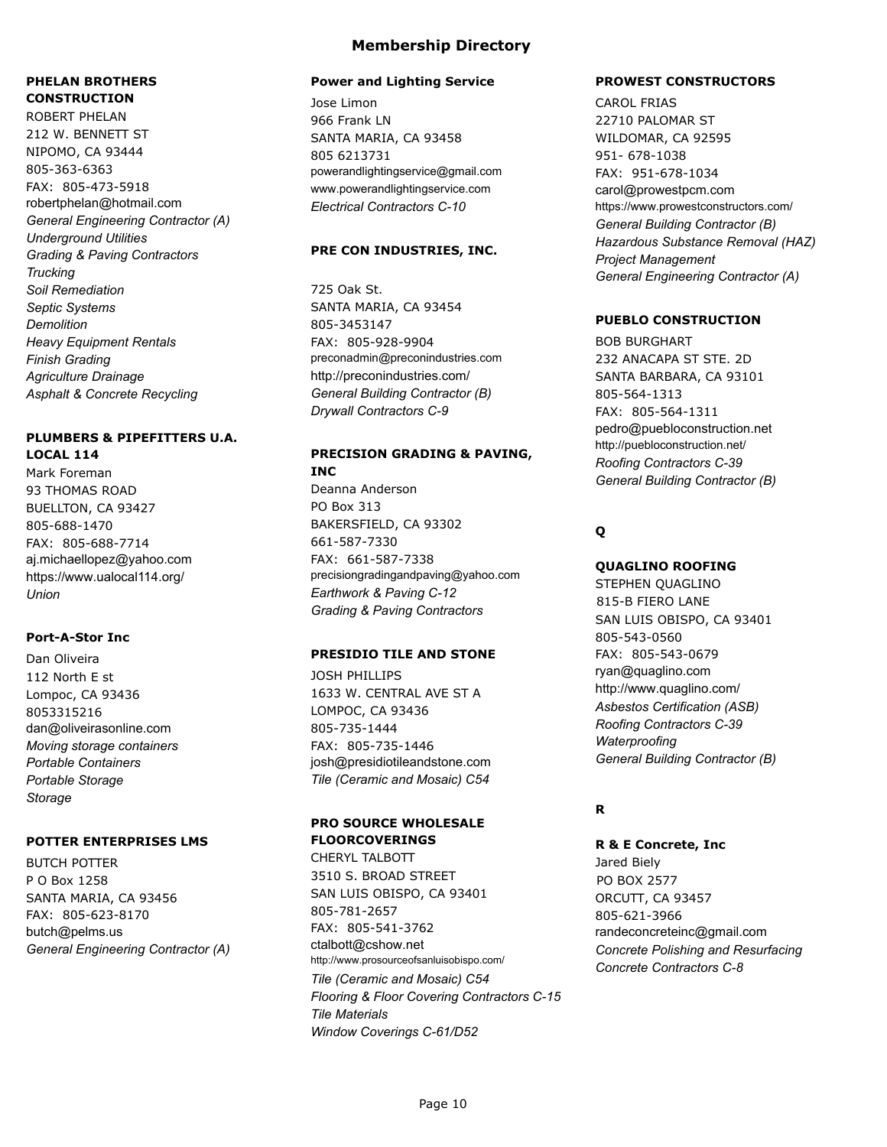# **PHELAN BROTHERS CONSTRUCTION**

ROBERT PHELAN 212 W. BENNETT ST NIPOMO, CA 93444 805-363-6363 FAX: 805-473-5918 robertphelan@hotmail.com *General Engineering Contractor (A) Underground Utilities Grading & Paving Contractors Trucking Soil Remediation Septic Systems Demolition Heavy Equipment Rentals Finish Grading Agriculture Drainage Asphalt & Concrete Recycling*

## **PLUMBERS & PIPEFITTERS U.A. LOCAL 114**

Mark Foreman 93 THOMAS ROAD BUELLTON, CA 93427 805-688-1470 FAX: 805-688-7714 aj.michaellopez@yahoo.com https://www.ualocal114.org/ *Union*

### **Port-A-Stor Inc**

Dan Oliveira 112 North E st Lompoc, CA 93436 8053315216 dan@oliveirasonline.com *Moving storage containers Portable Containers Portable Storage Storage*

#### **POTTER ENTERPRISES LMS**

BUTCH POTTER P O Box 1258 SANTA MARIA, CA 93456 FAX: 805-623-8170 butch@pelms.us *General Engineering Contractor (A)*

## **Membership Directory**

#### **Power and Lighting Service**

Jose Limon 966 Frank LN SANTA MARIA, CA 93458 805 6213731 powerandlightingservice@gmail.com www.powerandlightingservice.com *Electrical Contractors C-10*

#### **PRE CON INDUSTRIES, INC.**

725 Oak St. SANTA MARIA, CA 93454 805-3453147 FAX: 805-928-9904 preconadmin@preconindustries.com http://preconindustries.com/ *General Building Contractor (B) Drywall Contractors C-9*

## **PRECISION GRADING & PAVING, INC**

Deanna Anderson PO Box 313 BAKERSFIELD, CA 93302 661-587-7330 FAX: 661-587-7338 precisiongradingandpaving@yahoo.com *Earthwork & Paving C-12 Grading & Paving Contractors*

### **PRESIDIO TILE AND STONE**

JOSH PHILLIPS 1633 W. CENTRAL AVE ST A LOMPOC, CA 93436 805-735-1444 FAX: 805-735-1446 josh@presidiotileandstone.com *Tile (Ceramic and Mosaic) C54*

## **PRO SOURCE WHOLESALE FLOORCOVERINGS**

CHERYL TALBOTT 3510 S. BROAD STREET SAN LUIS OBISPO, CA 93401 805-781-2657 FAX: 805-541-3762 ctalbott@cshow.net http://www.prosourceofsanluisobispo.com/ *Tile (Ceramic and Mosaic) C54 Flooring & Floor Covering Contractors C-15 Tile Materials Window Coverings C-61/D52*

### **PROWEST CONSTRUCTORS**

CAROL FRIAS 22710 PALOMAR ST WILDOMAR, CA 92595 951- 678-1038 FAX: 951-678-1034 carol@prowestpcm.com https://www.prowestconstructors.com/ *General Building Contractor (B) Hazardous Substance Removal (HAZ) Project Management General Engineering Contractor (A)*

### **PUEBLO CONSTRUCTION**

BOB BURGHART 232 ANACAPA ST STE. 2D SANTA BARBARA, CA 93101 805-564-1313 FAX: 805-564-1311 pedro@puebloconstruction.net http://puebloconstruction.net/ *Roofing Contractors C-39 General Building Contractor (B)*

# **Q**

### **QUAGLINO ROOFING**

STEPHEN QUAGLINO 815-B FIERO LANE SAN LUIS OBISPO, CA 93401 805-543-0560 FAX: 805-543-0679 ryan@quaglino.com http://www.quaglino.com/ *Asbestos Certification (ASB) Roofing Contractors C-39 Waterproofing General Building Contractor (B)*

## **R**

**R & E Concrete, Inc** Jared Biely PO BOX 2577 ORCUTT, CA 93457 805-621-3966 randeconcreteinc@gmail.com *Concrete Polishing and Resurfacing Concrete Contractors C-8*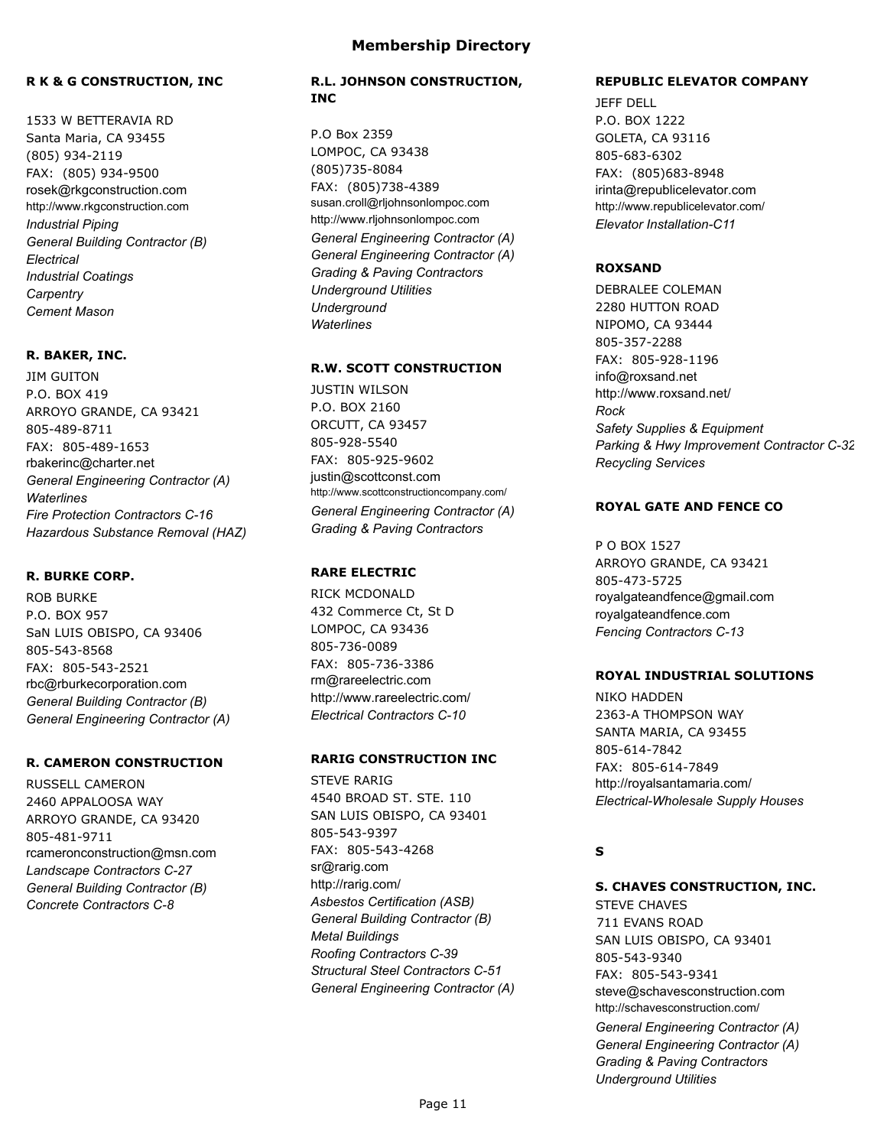#### **R K & G CONSTRUCTION, INC**

1533 W BETTERAVIA RD Santa Maria, CA 93455 (805) 934-2119 FAX: (805) 934-9500 rosek@rkgconstruction.com http://www.rkgconstruction.com *Industrial Piping General Building Contractor (B) Electrical Industrial Coatings Carpentry Cement Mason*

#### **R. BAKER, INC.**

JIM GUITON P.O. BOX 419 ARROYO GRANDE, CA 93421 805-489-8711 FAX: 805-489-1653 rbakerinc@charter.net *General Engineering Contractor (A) Waterlines Fire Protection Contractors C-16 Hazardous Substance Removal (HAZ)*

#### **R. BURKE CORP.**

ROB BURKE P.O. BOX 957 SaN LUIS OBISPO, CA 93406 805-543-8568 FAX: 805-543-2521 rbc@rburkecorporation.com *General Building Contractor (B) General Engineering Contractor (A)*

#### **R. CAMERON CONSTRUCTION**

RUSSELL CAMERON 2460 APPALOOSA WAY ARROYO GRANDE, CA 93420 805-481-9711 rcameronconstruction@msn.com *Landscape Contractors C-27 General Building Contractor (B) Concrete Contractors C-8*

#### **R.L. JOHNSON CONSTRUCTION, INC**

P.O Box 2359 LOMPOC, CA 93438 (805)735-8084 FAX: (805)738-4389 susan.croll@rljohnsonlompoc.com http://www.rljohnsonlompoc.com *General Engineering Contractor (A) General Engineering Contractor (A) Grading & Paving Contractors Underground Utilities Underground Waterlines*

### **R.W. SCOTT CONSTRUCTION**

JUSTIN WILSON P.O. BOX 2160 ORCUTT, CA 93457 805-928-5540 FAX: 805-925-9602 justin@scottconst.com http://www.scottconstructioncompany.com/ *General Engineering Contractor (A) Grading & Paving Contractors*

### **RARE ELECTRIC**

RICK MCDONALD 432 Commerce Ct, St D LOMPOC, CA 93436 805-736-0089 FAX: 805-736-3386 rm@rareelectric.com http://www.rareelectric.com/ *Electrical Contractors C-10*

### **RARIG CONSTRUCTION INC**

STEVE RARIG 4540 BROAD ST. STE. 110 SAN LUIS OBISPO, CA 93401 805-543-9397 FAX: 805-543-4268 sr@rarig.com http://rarig.com/ *Asbestos Certification (ASB) General Building Contractor (B) Metal Buildings Roofing Contractors C-39 Structural Steel Contractors C-51 General Engineering Contractor (A)*

#### **REPUBLIC ELEVATOR COMPANY**

JEFF DELL P.O. BOX 1222 GOLETA, CA 93116 805-683-6302 FAX: (805)683-8948 irinta@republicelevator.com http://www.republicelevator.com/ *Elevator Installation-C11*

#### **ROXSAND**

DEBRALEE COLEMAN 2280 HUTTON ROAD NIPOMO, CA 93444 805-357-2288 FAX: 805-928-1196 info@roxsand.net http://www.roxsand.net/ *Rock Safety Supplies & Equipment Parking & Hwy Improvement Contractor C-32 Recycling Services*

#### **ROYAL GATE AND FENCE CO**

P O BOX 1527 ARROYO GRANDE, CA 93421 805-473-5725 royalgateandfence@gmail.com royalgateandfence.com *Fencing Contractors C-13*

#### **ROYAL INDUSTRIAL SOLUTIONS**

NIKO HADDEN 2363-A THOMPSON WAY SANTA MARIA, CA 93455 805-614-7842 FAX: 805-614-7849 http://royalsantamaria.com/ *Electrical-Wholesale Supply Houses*

### **S**

**S. CHAVES CONSTRUCTION, INC.** STEVE CHAVES 711 EVANS ROAD SAN LUIS OBISPO, CA 93401 805-543-9340 FAX: 805-543-9341 steve@schavesconstruction.com http://schavesconstruction.com/ *General Engineering Contractor (A) General Engineering Contractor (A) Grading & Paving Contractors Underground Utilities*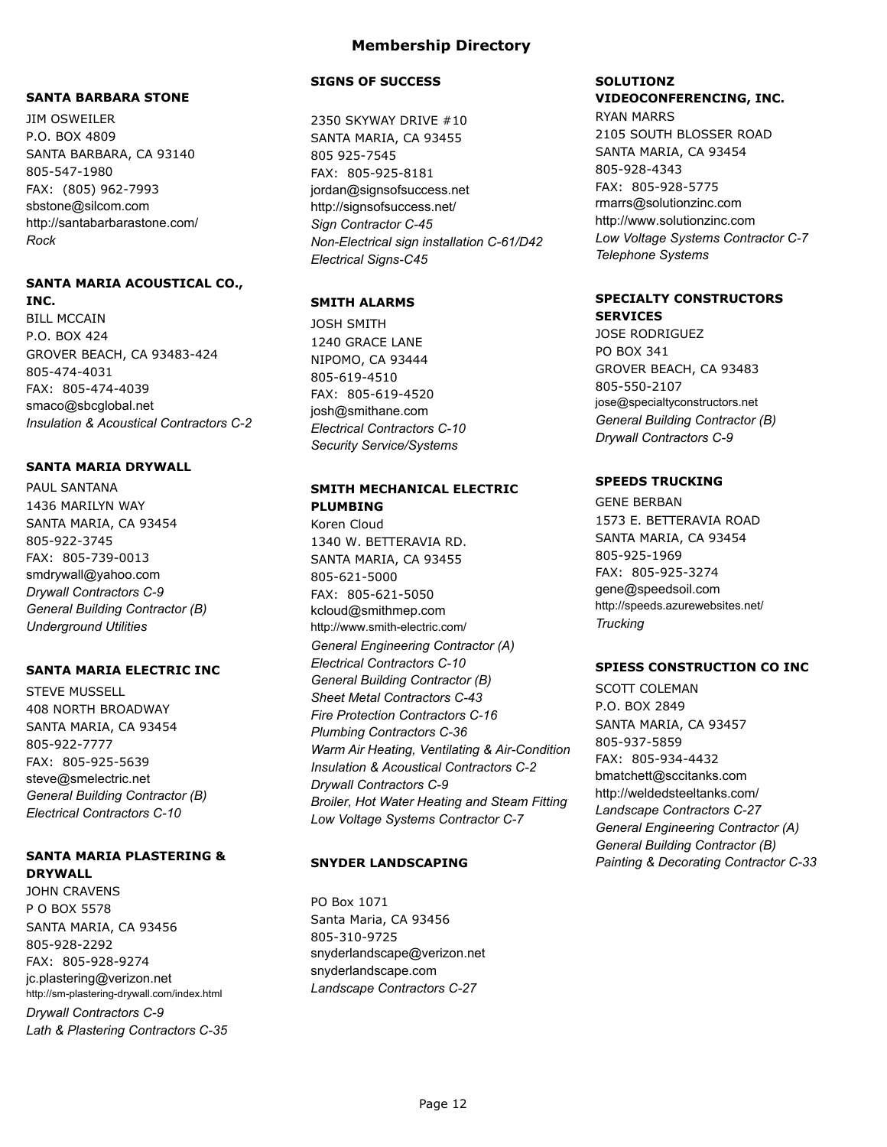#### **SANTA BARBARA STONE**

JIM OSWEILER P.O. BOX 4809 SANTA BARBARA, CA 93140 805-547-1980 FAX: (805) 962-7993 sbstone@silcom.com http://santabarbarastone.com/ *Rock*

#### **SANTA MARIA ACOUSTICAL CO., INC.**

BILL MCCAIN P.O. BOX 424 GROVER BEACH, CA 93483-424 805-474-4031 FAX: 805-474-4039 smaco@sbcglobal.net *Insulation & Acoustical Contractors C-2*

#### **SANTA MARIA DRYWALL**

PAUL SANTANA 1436 MARILYN WAY SANTA MARIA, CA 93454 805-922-3745 FAX: 805-739-0013 smdrywall@yahoo.com *Drywall Contractors C-9 General Building Contractor (B) Underground Utilities*

### **SANTA MARIA ELECTRIC INC**

STEVE MUSSELL 408 NORTH BROADWAY SANTA MARIA, CA 93454 805-922-7777 FAX: 805-925-5639 steve@smelectric.net *General Building Contractor (B) Electrical Contractors C-10*

#### **SANTA MARIA PLASTERING & DRYWALL**

JOHN CRAVENS P O BOX 5578 SANTA MARIA, CA 93456 805-928-2292 FAX: 805-928-9274 jc.plastering@verizon.net http://sm-plastering-drywall.com/index.html *Drywall Contractors C-9 Lath & Plastering Contractors C-35*

### **SIGNS OF SUCCESS**

2350 SKYWAY DRIVE #10 SANTA MARIA, CA 93455 805 925-7545 FAX: 805-925-8181 jordan@signsofsuccess.net http://signsofsuccess.net/ *Sign Contractor C-45 Non-Electrical sign installation C-61/D42 Electrical Signs-C45*

## **SMITH ALARMS**

JOSH SMITH 1240 GRACE LANE NIPOMO, CA 93444 805-619-4510 FAX: 805-619-4520 josh@smithane.com *Electrical Contractors C-10 Security Service/Systems*

### **SMITH MECHANICAL ELECTRIC PLUMBING**

Koren Cloud 1340 W. BETTERAVIA RD. SANTA MARIA, CA 93455 805-621-5000 FAX: 805-621-5050 kcloud@smithmep.com http://www.smith-electric.com/ *General Engineering Contractor (A) Electrical Contractors C-10 General Building Contractor (B) Sheet Metal Contractors C-43 Fire Protection Contractors C-16 Plumbing Contractors C-36 Warm Air Heating, Ventilating & Air-Condition Insulation & Acoustical Contractors C-2 Drywall Contractors C-9 Broiler, Hot Water Heating and Steam Fitting Low Voltage Systems Contractor C-7*

### **SNYDER LANDSCAPING**

PO Box 1071 Santa Maria, CA 93456 805-310-9725 snyderlandscape@verizon.net snyderlandscape.com *Landscape Contractors C-27*

## **SOLUTIONZ VIDEOCONFERENCING, INC.**

RYAN MARRS 2105 SOUTH BLOSSER ROAD SANTA MARIA, CA 93454 805-928-4343 FAX: 805-928-5775 rmarrs@solutionzinc.com http://www.solutionzinc.com *Low Voltage Systems Contractor C-7 Telephone Systems*

#### **SPECIALTY CONSTRUCTORS SERVICES**

JOSE RODRIGUEZ PO BOX 341 GROVER BEACH, CA 93483 805-550-2107 jose@specialtyconstructors.net *General Building Contractor (B) Drywall Contractors C-9*

#### **SPEEDS TRUCKING**

GENE BERBAN 1573 E. BETTERAVIA ROAD SANTA MARIA, CA 93454 805-925-1969 FAX: 805-925-3274 gene@speedsoil.com http://speeds.azurewebsites.net/ *Trucking*

## **SPIESS CONSTRUCTION CO INC**

SCOTT COLEMAN P.O. BOX 2849 SANTA MARIA, CA 93457 805-937-5859 FAX: 805-934-4432 bmatchett@sccitanks.com http://weldedsteeltanks.com/ *Landscape Contractors C-27 General Engineering Contractor (A) General Building Contractor (B) Painting & Decorating Contractor C-33*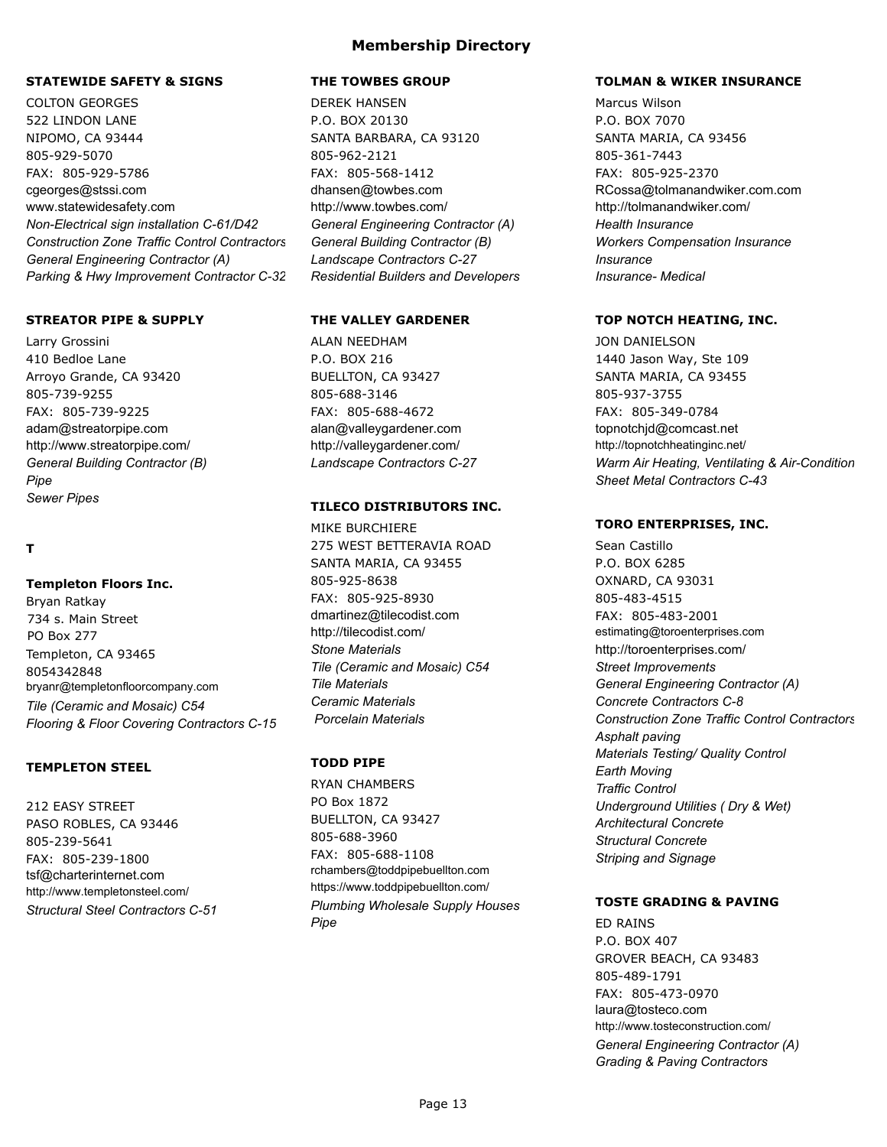### **STATEWIDE SAFETY & SIGNS**

COLTON GEORGES 522 LINDON LANE NIPOMO, CA 93444 805-929-5070 FAX: 805-929-5786 cgeorges@stssi.com www.statewidesafety.com *Non-Electrical sign installation C-61/D42* **Construction Zone Traffic Control Contractors** *General Engineering Contractor (A) Parking & Hwy Improvement Contractor C-32*

#### **STREATOR PIPE & SUPPLY**

Larry Grossini 410 Bedloe Lane Arroyo Grande, CA 93420 805-739-9255 FAX: 805-739-9225 adam@streatorpipe.com http://www.streatorpipe.com/ *General Building Contractor (B) Pipe Sewer Pipes*

### **T**

#### **Templeton Floors Inc.**

Bryan Ratkay 734 s. Main Street PO Box 277 Templeton, CA 93465 8054342848 bryanr@templetonfloorcompany.com *Tile (Ceramic and Mosaic) C54 Flooring & Floor Covering Contractors C-15*

### **TEMPLETON STEEL**

212 EASY STREET PASO ROBLES, CA 93446 805-239-5641 FAX: 805-239-1800 tsf@charterinternet.com http://www.templetonsteel.com/ *Structural Steel Contractors C-51*

#### **THE TOWBES GROUP**

DEREK HANSEN P.O. BOX 20130 SANTA BARBARA, CA 93120 805-962-2121 FAX: 805-568-1412 dhansen@towbes.com http://www.towbes.com/ *General Engineering Contractor (A) General Building Contractor (B) Landscape Contractors C-27 Residential Builders and Developers*

### **THE VALLEY GARDENER**

ALAN NEEDHAM P.O. BOX 216 BUELLTON, CA 93427 805-688-3146 FAX: 805-688-4672 alan@valleygardener.com http://valleygardener.com/ *Landscape Contractors C-27*

#### **TILECO DISTRIBUTORS INC.**

MIKE BURCHIERE 275 WEST BETTERAVIA ROAD SANTA MARIA, CA 93455 805-925-8638 FAX: 805-925-8930 dmartinez@tilecodist.com http://tilecodist.com/ *Stone Materials Tile (Ceramic and Mosaic) C54 Tile Materials Ceramic Materials Porcelain Materials*

## **TODD PIPE**

RYAN CHAMBERS PO Box 1872 BUELLTON, CA 93427 805-688-3960 FAX: 805-688-1108 rchambers@toddpipebuellton.com https://www.toddpipebuellton.com/ *Plumbing Wholesale Supply Houses Pipe*

#### **TOLMAN & WIKER INSURANCE**

Marcus Wilson P.O. BOX 7070 SANTA MARIA, CA 93456 805-361-7443 FAX: 805-925-2370 RCossa@tolmanandwiker.com.com http://tolmanandwiker.com/ *Health Insurance Workers Compensation Insurance Insurance Insurance- Medical*

#### **TOP NOTCH HEATING, INC.**

JON DANIELSON 1440 Jason Way, Ste 109 SANTA MARIA, CA 93455 805-937-3755 FAX: 805-349-0784 topnotchjd@comcast.net http://topnotchheatinginc.net/ **Warm Air Heating, Ventilating & Air-Condition** *Sheet Metal Contractors C-43*

### **TORO ENTERPRISES, INC.**

Sean Castillo P.O. BOX 6285 OXNARD, CA 93031 805-483-4515 FAX: 805-483-2001 estimating@toroenterprises.com http://toroenterprises.com/ *Street Improvements General Engineering Contractor (A) Concrete Contractors C-8* **Construction Zone Traffic Control Contractors** *Asphalt paving Materials Testing/ Quality Control Earth Moving Traffic Control Underground Utilities ( Dry & Wet) Architectural Concrete Structural Concrete Striping and Signage*

## **TOSTE GRADING & PAVING**

ED RAINS P.O. BOX 407 GROVER BEACH, CA 93483 805-489-1791 FAX: 805-473-0970 laura@tosteco.com http://www.tosteconstruction.com/ *General Engineering Contractor (A) Grading & Paving Contractors*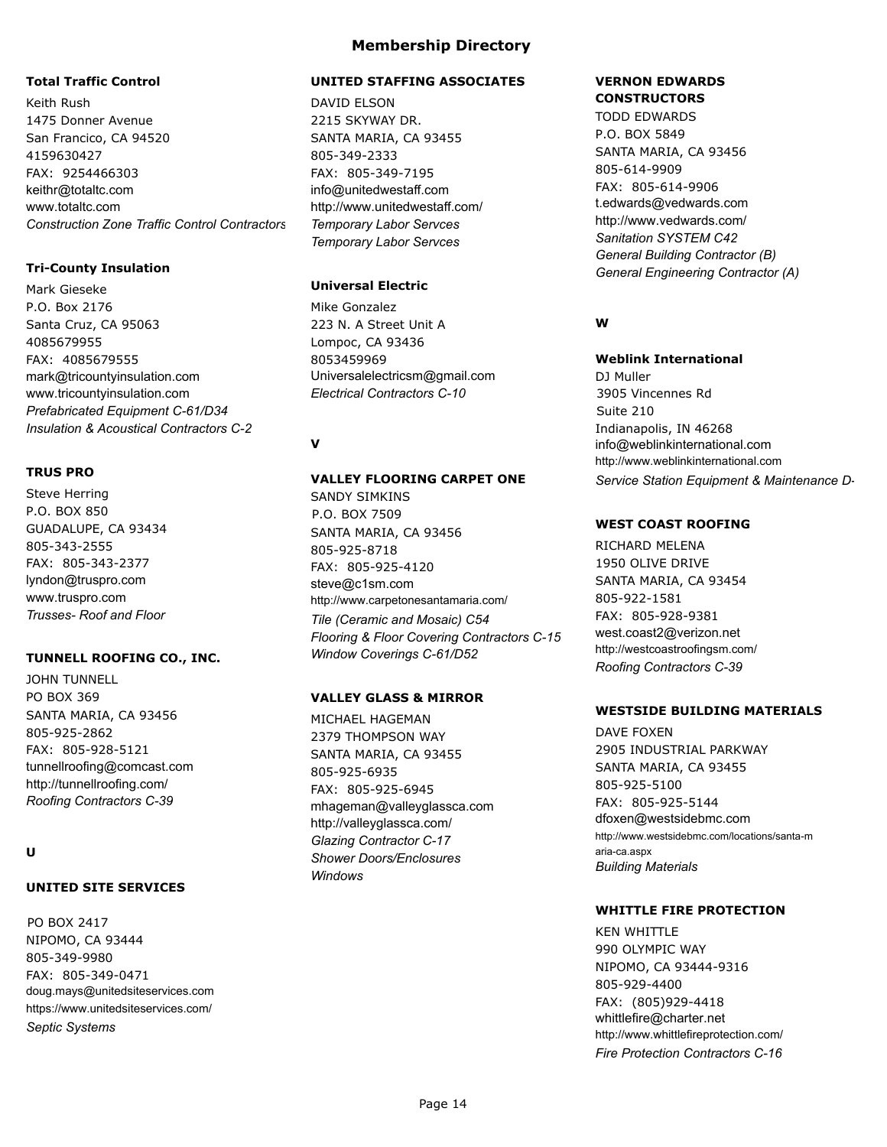### **Total Traffic Control**

Keith Rush 1475 Donner Avenue San Francico, CA 94520 4159630427 FAX: 9254466303 keithr@totaltc.com www.totaltc.com *Construction Zone Traffic Control Contractors C-31*

### **Tri-County Insulation**

Mark Gieseke P.O. Box 2176 Santa Cruz, CA 95063 4085679955 FAX: 4085679555 mark@tricountyinsulation.com www.tricountyinsulation.com *Prefabricated Equipment C-61/D34 Insulation & Acoustical Contractors C-2*

### **TRUS PRO**

Steve Herring P.O. BOX 850 GUADALUPE, CA 93434 805-343-2555 FAX: 805-343-2377 lyndon@truspro.com www.truspro.com *Trusses- Roof and Floor*

### **TUNNELL ROOFING CO., INC.**

JOHN TUNNELL PO BOX 369 SANTA MARIA, CA 93456 805-925-2862 FAX: 805-928-5121 tunnellroofing@comcast.com http://tunnellroofing.com/ *Roofing Contractors C-39*

## **U**

# **UNITED SITE SERVICES**

PO BOX 2417 NIPOMO, CA 93444 805-349-9980 FAX: 805-349-0471 doug.mays@unitedsiteservices.com https://www.unitedsiteservices.com/ *Septic Systems*

## **UNITED STAFFING ASSOCIATES**

DAVID ELSON 2215 SKYWAY DR. SANTA MARIA, CA 93455 805-349-2333 FAX: 805-349-7195 info@unitedwestaff.com http://www.unitedwestaff.com/ *Temporary Labor Servces Temporary Labor Servces*

### **Universal Electric**

Mike Gonzalez 223 N. A Street Unit A Lompoc, CA 93436 8053459969 Universalelectricsm@gmail.com *Electrical Contractors C-10*

## **V**

### **VALLEY FLOORING CARPET ONE**

SANDY SIMKINS P.O. BOX 7509 SANTA MARIA, CA 93456 805-925-8718 FAX: 805-925-4120 steve@c1sm.com http://www.carpetonesantamaria.com/ *Tile (Ceramic and Mosaic) C54 Flooring & Floor Covering Contractors C-15 Window Coverings C-61/D52*

### **VALLEY GLASS & MIRROR**

MICHAEL HAGEMAN 2379 THOMPSON WAY SANTA MARIA, CA 93455 805-925-6935 FAX: 805-925-6945 mhageman@valleyglassca.com http://valleyglassca.com/ *Glazing Contractor C-17 Shower Doors/Enclosures Windows*

#### **VERNON EDWARDS CONSTRUCTORS**

TODD EDWARDS P.O. BOX 5849 SANTA MARIA, CA 93456 805-614-9909 FAX: 805-614-9906 t.edwards@vedwards.com http://www.vedwards.com/ *Sanitation SYSTEM C42 General Building Contractor (B) General Engineering Contractor (A)*

## **W**

# **Weblink International**

DJ Muller 3905 Vincennes Rd Suite 210 Indianapolis, IN 46268 info@weblinkinternational.com http://www.weblinkinternational.com **Service Station Equipment & Maintenance D-**

### **WEST COAST ROOFING**

RICHARD MELENA 1950 OLIVE DRIVE SANTA MARIA, CA 93454 805-922-1581 FAX: 805-928-9381 west.coast2@verizon.net http://westcoastroofingsm.com/ *Roofing Contractors C-39*

### **WESTSIDE BUILDING MATERIALS**

DAVE FOXEN 2905 INDUSTRIAL PARKWAY SANTA MARIA, CA 93455 805-925-5100 FAX: 805-925-5144 dfoxen@westsidebmc.com http://www.westsidebmc.com/locations/santa-m aria-ca.aspx *Building Materials*

#### **WHITTLE FIRE PROTECTION**

**KEN WHITTLE** 990 OLYMPIC WAY NIPOMO, CA 93444-9316 805-929-4400 FAX: (805)929-4418 whittlefire@charter.net http://www.whittlefireprotection.com/ *Fire Protection Contractors C-16*